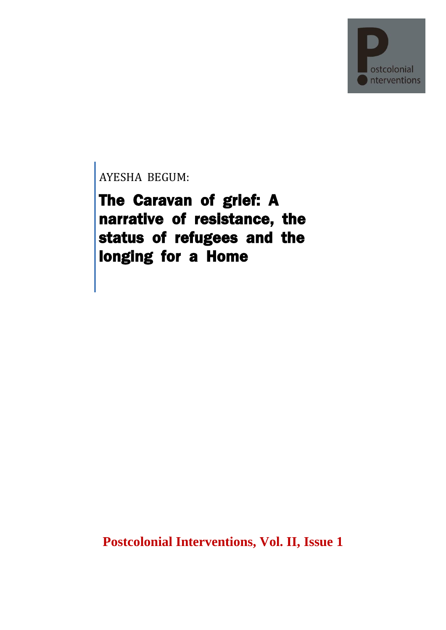

AYESHA BEGUM:

The Caravan of grief: A narrative of resistance, the status of refugees and the longing for a Home

**Postcolonial Interventions, Vol. II, Issue 1**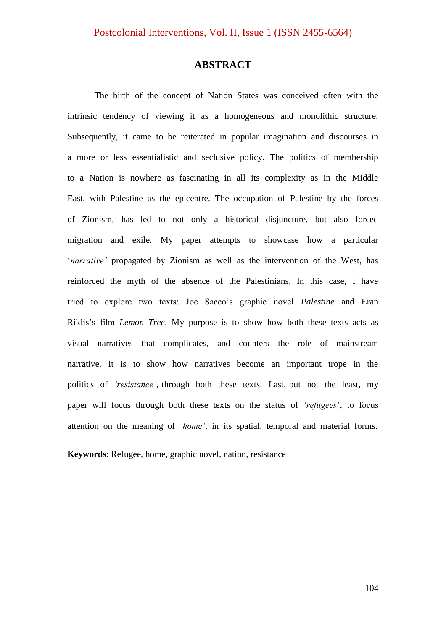# **ABSTRACT**

The birth of the concept of Nation States was conceived often with the intrinsic tendency of viewing it as a homogeneous and monolithic structure. Subsequently, it came to be reiterated in popular imagination and discourses in a more or less essentialistic and seclusive policy. The politics of membership to a Nation is nowhere as fascinating in all its complexity as in the Middle East, with Palestine as the epicentre. The occupation of Palestine by the forces of Zionism, has led to not only a historical disjuncture, but also forced migration and exile. My paper attempts to showcase how a particular "*narrative'* propagated by Zionism as well as the intervention of the West, has reinforced the myth of the absence of the Palestinians. In this case, I have tried to explore two texts: Joe Sacco"s graphic novel *Palestine* and Eran Riklis"s film *Lemon Tree*. My purpose is to show how both these texts acts as visual narratives that complicates, and counters the role of mainstream narrative. It is to show how narratives become an important trope in the politics of *'resistance'*, through both these texts. Last, but not the least, my paper will focus through both these texts on the status of *'refugees*", to focus attention on the meaning of *'home'*, in its spatial, temporal and material forms.

**Keywords**: Refugee, home, graphic novel, nation, resistance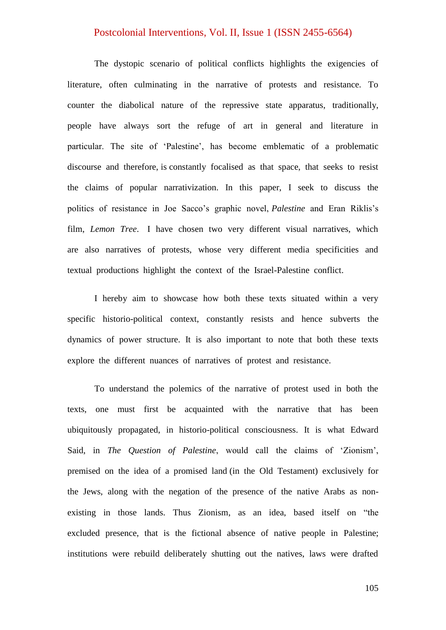The dystopic scenario of political conflicts highlights the exigencies of literature, often culminating in the narrative of protests and resistance. To counter the diabolical nature of the repressive state apparatus, traditionally, people have always sort the refuge of art in general and literature in particular. The site of "Palestine", has become emblematic of a problematic discourse and therefore, is constantly focalised as that space, that seeks to resist the claims of popular narrativization. In this paper, I seek to discuss the politics of resistance in Joe Sacco"s graphic novel, *Palestine* and Eran Riklis"s film, *Lemon Tree*. I have chosen two very different visual narratives, which are also narratives of protests, whose very different media specificities and textual productions highlight the context of the Israel-Palestine conflict.

I hereby aim to showcase how both these texts situated within a very specific historio-political context, constantly resists and hence subverts the dynamics of power structure. It is also important to note that both these texts explore the different nuances of narratives of protest and resistance.

To understand the polemics of the narrative of protest used in both the texts, one must first be acquainted with the narrative that has been ubiquitously propagated, in historio-political consciousness. It is what Edward Said, in *The Question of Palestine*, would call the claims of "Zionism", premised on the idea of a promised land (in the Old Testament) exclusively for the Jews, along with the negation of the presence of the native Arabs as nonexisting in those lands. Thus Zionism, as an idea, based itself on "the excluded presence, that is the fictional absence of native people in Palestine; institutions were rebuild deliberately shutting out the natives, laws were drafted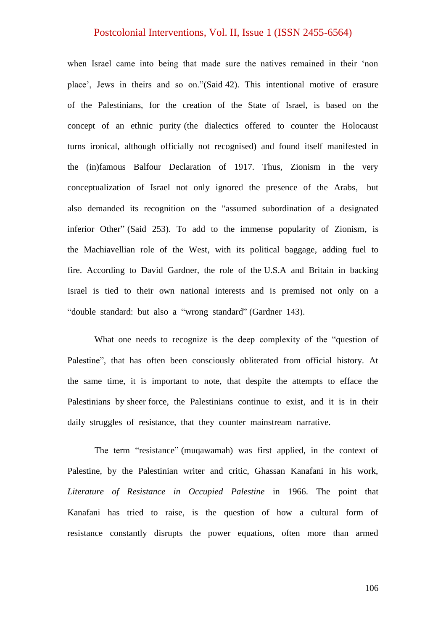when Israel came into being that made sure the natives remained in their "non place", Jews in theirs and so on."(Said 42). This intentional motive of erasure of the Palestinians, for the creation of the State of Israel, is based on the concept of an ethnic purity (the dialectics offered to counter the Holocaust turns ironical, although officially not recognised) and found itself manifested in the (in)famous Balfour Declaration of 1917. Thus, Zionism in the very conceptualization of Israel not only ignored the presence of the Arabs, but also demanded its recognition on the "assumed subordination of a designated inferior Other" (Said 253). To add to the immense popularity of Zionism, is the Machiavellian role of the West, with its political baggage, adding fuel to fire. According to David Gardner, the role of the U.S.A and Britain in backing Israel is tied to their own national interests and is premised not only on a "double standard: but also a "wrong standard" (Gardner 143).

What one needs to recognize is the deep complexity of the "question of Palestine", that has often been consciously obliterated from official history. At the same time, it is important to note, that despite the attempts to efface the Palestinians by sheer force, the Palestinians continue to exist, and it is in their daily struggles of resistance, that they counter mainstream narrative.

The term "resistance" (muqawamah) was first applied, in the context of Palestine, by the Palestinian writer and critic, Ghassan Kanafani in his work, *Literature of Resistance in Occupied Palestine* in 1966. The point that Kanafani has tried to raise, is the question of how a cultural form of resistance constantly disrupts the power equations, often more than armed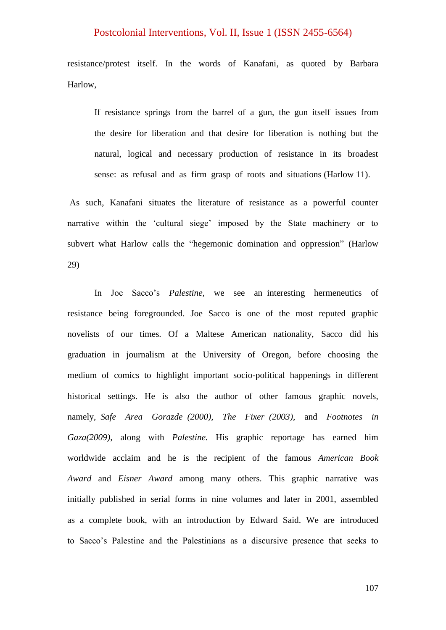resistance/protest itself. In the words of Kanafani, as quoted by Barbara Harlow,

If resistance springs from the barrel of a gun, the gun itself issues from the desire for liberation and that desire for liberation is nothing but the natural, logical and necessary production of resistance in its broadest sense: as refusal and as firm grasp of roots and situations (Harlow 11).

As such, Kanafani situates the literature of resistance as a powerful counter narrative within the 'cultural siege' imposed by the State machinery or to subvert what Harlow calls the "hegemonic domination and oppression" (Harlow 29)

In Joe Sacco"s *Palestine*, we see an interesting hermeneutics of resistance being foregrounded. Joe Sacco is one of the most reputed graphic novelists of our times. Of a Maltese American nationality, Sacco did his graduation in journalism at the University of Oregon, before choosing the medium of comics to highlight important socio-political happenings in different historical settings. He is also the author of other famous graphic novels, namely, *Safe Area Gorazde (2000), The Fixer (2003),* and *Footnotes in Gaza(2009),* along with *Palestine.* His graphic reportage has earned him worldwide acclaim and he is the recipient of the famous *American Book Award* and *Eisner Award* among many others. This graphic narrative was initially published in serial forms in nine volumes and later in 2001, assembled as a complete book, with an introduction by Edward Said. We are introduced to Sacco"s Palestine and the Palestinians as a discursive presence that seeks to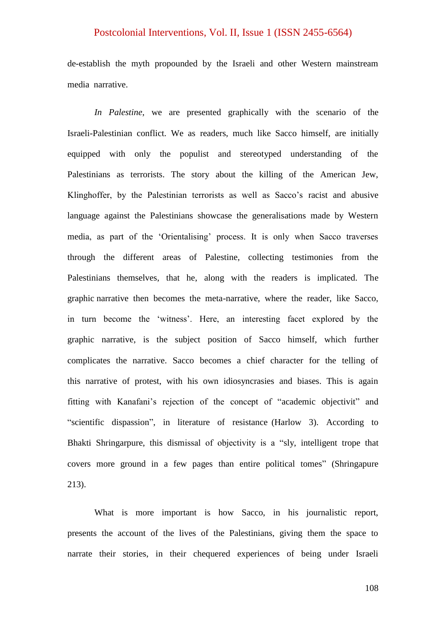de-establish the myth propounded by the Israeli and other Western mainstream media narrative.

*In Palestine*, we are presented graphically with the scenario of the Israeli-Palestinian conflict. We as readers, much like Sacco himself, are initially equipped with only the populist and stereotyped understanding of the Palestinians as terrorists. The story about the killing of the American Jew, Klinghoffer, by the Palestinian terrorists as well as Sacco's racist and abusive language against the Palestinians showcase the generalisations made by Western media, as part of the "Orientalising" process. It is only when Sacco traverses through the different areas of Palestine, collecting testimonies from the Palestinians themselves, that he, along with the readers is implicated. The graphic narrative then becomes the meta-narrative, where the reader, like Sacco, in turn become the "witness". Here, an interesting facet explored by the graphic narrative, is the subject position of Sacco himself, which further complicates the narrative. Sacco becomes a chief character for the telling of this narrative of protest, with his own idiosyncrasies and biases. This is again fitting with Kanafani"s rejection of the concept of "academic objectivit" and "scientific dispassion", in literature of resistance (Harlow 3). According to Bhakti Shringarpure, this dismissal of objectivity is a "sly, intelligent trope that covers more ground in a few pages than entire political tomes" (Shringapure 213).

What is more important is how Sacco, in his journalistic report, presents the account of the lives of the Palestinians, giving them the space to narrate their stories, in their chequered experiences of being under Israeli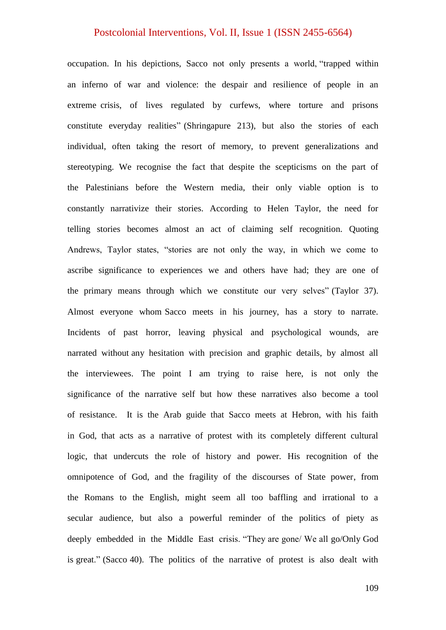occupation. In his depictions, Sacco not only presents a world, "trapped within an inferno of war and violence: the despair and resilience of people in an extreme crisis, of lives regulated by curfews, where torture and prisons constitute everyday realities" (Shringapure 213), but also the stories of each individual, often taking the resort of memory, to prevent generalizations and stereotyping. We recognise the fact that despite the scepticisms on the part of the Palestinians before the Western media, their only viable option is to constantly narrativize their stories. According to Helen Taylor, the need for telling stories becomes almost an act of claiming self recognition. Quoting Andrews, Taylor states, "stories are not only the way, in which we come to ascribe significance to experiences we and others have had; they are one of the primary means through which we constitute our very selves" (Taylor 37). Almost everyone whom Sacco meets in his journey, has a story to narrate. Incidents of past horror, leaving physical and psychological wounds, are narrated without any hesitation with precision and graphic details, by almost all the interviewees. The point I am trying to raise here, is not only the significance of the narrative self but how these narratives also become a tool of resistance. It is the Arab guide that Sacco meets at Hebron, with his faith in God, that acts as a narrative of protest with its completely different cultural logic, that undercuts the role of history and power. His recognition of the omnipotence of God, and the fragility of the discourses of State power, from the Romans to the English, might seem all too baffling and irrational to a secular audience, but also a powerful reminder of the politics of piety as deeply embedded in the Middle East crisis. "They are gone/ We all go/Only God is great." (Sacco 40). The politics of the narrative of protest is also dealt with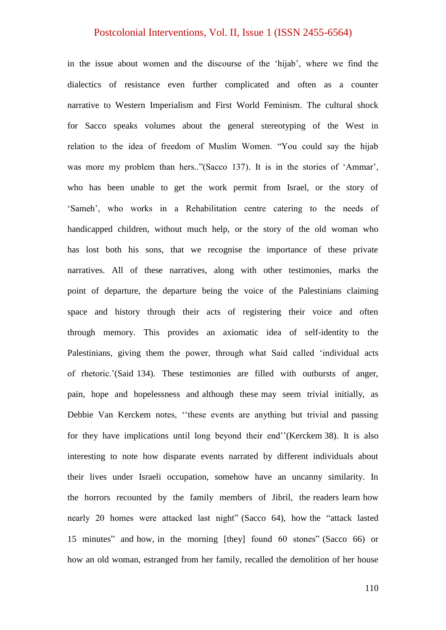in the issue about women and the discourse of the 'hijab', where we find the dialectics of resistance even further complicated and often as a counter narrative to Western Imperialism and First World Feminism. The cultural shock for Sacco speaks volumes about the general stereotyping of the West in relation to the idea of freedom of Muslim Women. "You could say the hijab was more my problem than hers.."(Sacco 137). It is in the stories of 'Ammar', who has been unable to get the work permit from Israel, or the story of "Sameh", who works in a Rehabilitation centre catering to the needs of handicapped children, without much help, or the story of the old woman who has lost both his sons, that we recognise the importance of these private narratives. All of these narratives, along with other testimonies, marks the point of departure, the departure being the voice of the Palestinians claiming space and history through their acts of registering their voice and often through memory. This provides an axiomatic idea of self-identity to the Palestinians, giving them the power, through what Said called "individual acts of rhetoric."(Said 134). These testimonies are filled with outbursts of anger, pain, hope and hopelessness and although these may seem trivial initially, as Debbie Van Kerckem notes, "these events are anything but trivial and passing for they have implications until long beyond their end" (Kerckem 38). It is also interesting to note how disparate events narrated by different individuals about their lives under Israeli occupation, somehow have an uncanny similarity. In the horrors recounted by the family members of Jibril, the readers learn how nearly 20 homes were attacked last night" (Sacco 64), how the "attack lasted 15 minutes" and how, in the morning [they] found 60 stones" (Sacco 66) or how an old woman, estranged from her family, recalled the demolition of her house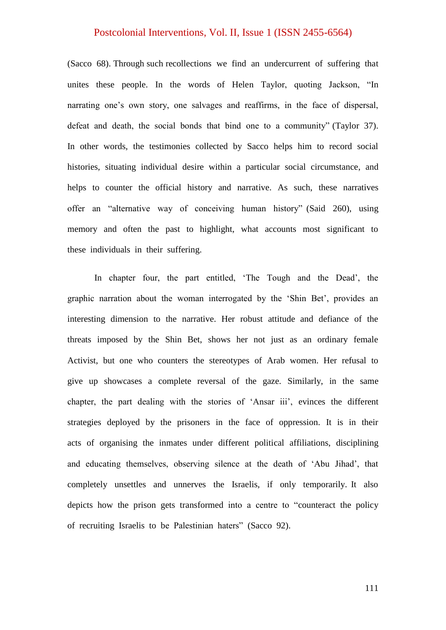(Sacco 68). Through such recollections we find an undercurrent of suffering that unites these people. In the words of Helen Taylor, quoting Jackson, "In narrating one's own story, one salvages and reaffirms, in the face of dispersal, defeat and death, the social bonds that bind one to a community" (Taylor 37). In other words, the testimonies collected by Sacco helps him to record social histories, situating individual desire within a particular social circumstance, and helps to counter the official history and narrative. As such, these narratives offer an "alternative way of conceiving human history" (Said 260), using memory and often the past to highlight, what accounts most significant to these individuals in their suffering.

In chapter four, the part entitled, 'The Tough and the Dead', the graphic narration about the woman interrogated by the "Shin Bet", provides an interesting dimension to the narrative. Her robust attitude and defiance of the threats imposed by the Shin Bet, shows her not just as an ordinary female Activist, but one who counters the stereotypes of Arab women. Her refusal to give up showcases a complete reversal of the gaze. Similarly, in the same chapter, the part dealing with the stories of 'Ansar iii', evinces the different strategies deployed by the prisoners in the face of oppression. It is in their acts of organising the inmates under different political affiliations, disciplining and educating themselves, observing silence at the death of "Abu Jihad", that completely unsettles and unnerves the Israelis, if only temporarily. It also depicts how the prison gets transformed into a centre to "counteract the policy of recruiting Israelis to be Palestinian haters" (Sacco 92).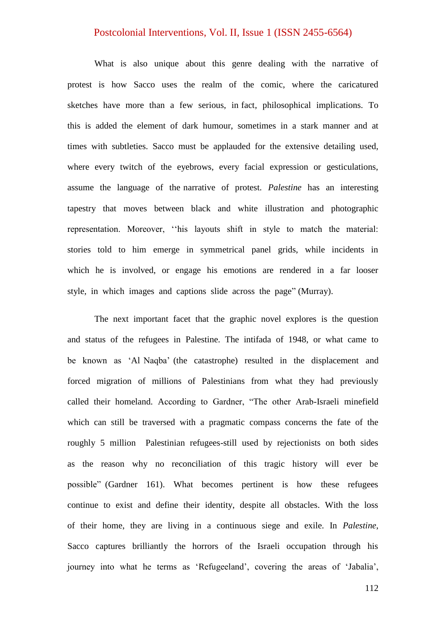What is also unique about this genre dealing with the narrative of protest is how Sacco uses the realm of the comic, where the caricatured sketches have more than a few serious, in fact, philosophical implications. To this is added the element of dark humour, sometimes in a stark manner and at times with subtleties. Sacco must be applauded for the extensive detailing used, where every twitch of the eyebrows, every facial expression or gesticulations, assume the language of the narrative of protest. *Palestine* has an interesting tapestry that moves between black and white illustration and photographic representation. Moreover, "his layouts shift in style to match the material: stories told to him emerge in symmetrical panel grids, while incidents in which he is involved, or engage his emotions are rendered in a far looser style, in which images and captions slide across the page" (Murray).

The next important facet that the graphic novel explores is the question and status of the refugees in Palestine. The intifada of 1948, or what came to be known as "Al Naqba" (the catastrophe) resulted in the displacement and forced migration of millions of Palestinians from what they had previously called their homeland. According to Gardner, "The other Arab-Israeli minefield which can still be traversed with a pragmatic compass concerns the fate of the roughly 5 million Palestinian refugees-still used by rejectionists on both sides as the reason why no reconciliation of this tragic history will ever be possible" (Gardner 161). What becomes pertinent is how these refugees continue to exist and define their identity, despite all obstacles. With the loss of their home, they are living in a continuous siege and exile. In *Palestine*, Sacco captures brilliantly the horrors of the Israeli occupation through his journey into what he terms as 'Refugeeland', covering the areas of 'Jabalia',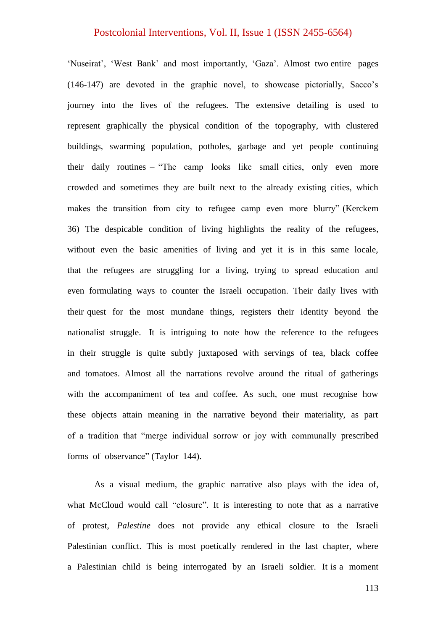'Nuseirat', 'West Bank' and most importantly, 'Gaza'. Almost two entire pages (146-147) are devoted in the graphic novel, to showcase pictorially, Sacco"s journey into the lives of the refugees. The extensive detailing is used to represent graphically the physical condition of the topography, with clustered buildings, swarming population, potholes, garbage and yet people continuing their daily routines – "The camp looks like small cities, only even more crowded and sometimes they are built next to the already existing cities, which makes the transition from city to refugee camp even more blurry" (Kerckem 36) The despicable condition of living highlights the reality of the refugees, without even the basic amenities of living and yet it is in this same locale, that the refugees are struggling for a living, trying to spread education and even formulating ways to counter the Israeli occupation. Their daily lives with their quest for the most mundane things, registers their identity beyond the nationalist struggle. It is intriguing to note how the reference to the refugees in their struggle is quite subtly juxtaposed with servings of tea, black coffee and tomatoes. Almost all the narrations revolve around the ritual of gatherings with the accompaniment of tea and coffee. As such, one must recognise how these objects attain meaning in the narrative beyond their materiality, as part of a tradition that "merge individual sorrow or joy with communally prescribed forms of observance" (Taylor 144).

As a visual medium, the graphic narrative also plays with the idea of, what McCloud would call "closure". It is interesting to note that as a narrative of protest, *Palestine* does not provide any ethical closure to the Israeli Palestinian conflict. This is most poetically rendered in the last chapter, where a Palestinian child is being interrogated by an Israeli soldier. It is a moment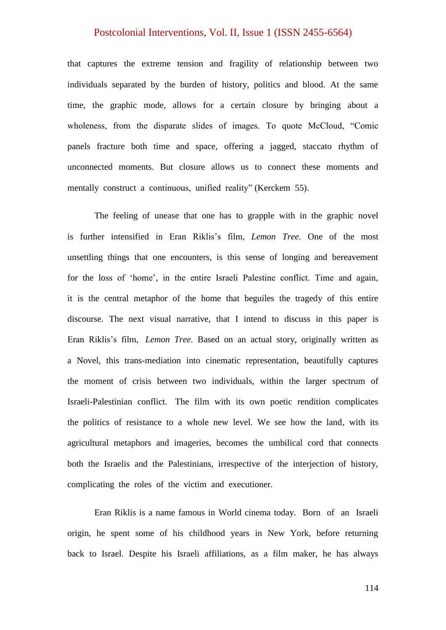that captures the extreme tension and fragility of relationship between two individuals separated by the burden of history, politics and blood. At the same time, the graphic mode, allows for a certain closure by bringing about a wholeness, from the disparate slides of images. To quote McCloud, "Comic panels fracture both time and space, offering a jagged, staccato rhythm of unconnected moments. But closure allows us to connect these moments and mentally construct a continuous, unified reality" (Kerckem 55).

The feeling of unease that one has to grapple with in the graphic novel is further intensified in Eran Riklis"s film, *Lemon Tree.* One of the most unsettling things that one encounters, is this sense of longing and bereavement for the loss of "home", in the entire Israeli Palestine conflict. Time and again, it is the central metaphor of the home that beguiles the tragedy of this entire discourse. The next visual narrative, that I intend to discuss in this paper is Eran Riklis"s film, *Lemon Tree*. Based on an actual story, originally written as a Novel, this trans-mediation into cinematic representation, beautifully captures the moment of crisis between two individuals, within the larger spectrum of Israeli-Palestinian conflict. The film with its own poetic rendition complicates the politics of resistance to a whole new level. We see how the land, with its agricultural metaphors and imageries, becomes the umbilical cord that connects both the Israelis and the Palestinians, irrespective of the interjection of history, complicating the roles of the victim and executioner.

Eran Riklis is a name famous in World cinema today. Born of an Israeli origin, he spent some of his childhood years in New York, before returning back to Israel. Despite his Israeli affiliations, as a film maker, he has always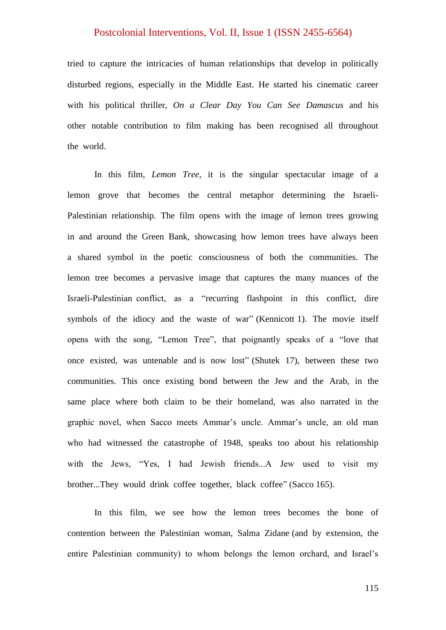tried to capture the intricacies of human relationships that develop in politically disturbed regions, especially in the Middle East. He started his cinematic career with his political thriller, *On a Clear Day You Can See Damascus* and his other notable contribution to film making has been recognised all throughout the world.

In this film, *Lemon Tree,* it is the singular spectacular image of a lemon grove that becomes the central metaphor determining the Israeli-Palestinian relationship. The film opens with the image of lemon trees growing in and around the Green Bank, showcasing how lemon trees have always been a shared symbol in the poetic consciousness of both the communities. The lemon tree becomes a pervasive image that captures the many nuances of the Israeli-Palestinian conflict, as a "recurring flashpoint in this conflict, dire symbols of the idiocy and the waste of war" (Kennicott 1). The movie itself opens with the song, "Lemon Tree", that poignantly speaks of a "love that once existed, was untenable and is now lost" (Shutek 17), between these two communities. This once existing bond between the Jew and the Arab, in the same place where both claim to be their homeland, was also narrated in the graphic novel, when Sacco meets Ammar"s uncle. Ammar"s uncle, an old man who had witnessed the catastrophe of 1948, speaks too about his relationship with the Jews, "Yes, I had Jewish friends...A Jew used to visit my brother...They would drink coffee together, black coffee" (Sacco 165).

In this film, we see how the lemon trees becomes the bone of contention between the Palestinian woman, Salma Zidane (and by extension, the entire Palestinian community) to whom belongs the lemon orchard, and Israel"s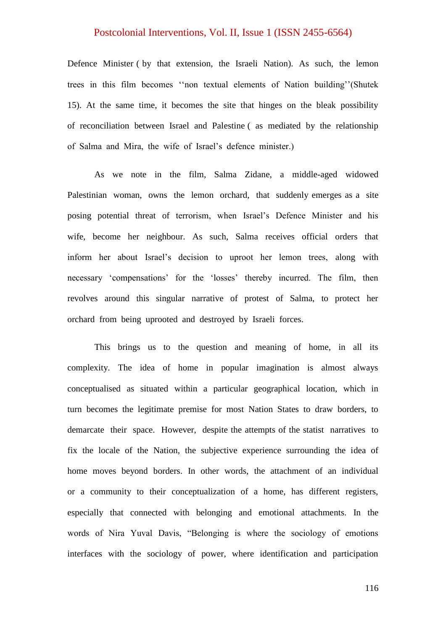Defence Minister ( by that extension, the Israeli Nation). As such, the lemon trees in this film becomes ""non textual elements of Nation building""(Shutek 15). At the same time, it becomes the site that hinges on the bleak possibility of reconciliation between Israel and Palestine ( as mediated by the relationship of Salma and Mira, the wife of Israel"s defence minister.)

As we note in the film, Salma Zidane, a middle-aged widowed Palestinian woman, owns the lemon orchard, that suddenly emerges as a site posing potential threat of terrorism, when Israel"s Defence Minister and his wife, become her neighbour. As such, Salma receives official orders that inform her about Israel"s decision to uproot her lemon trees, along with necessary "compensations" for the "losses" thereby incurred. The film, then revolves around this singular narrative of protest of Salma, to protect her orchard from being uprooted and destroyed by Israeli forces.

This brings us to the question and meaning of home, in all its complexity. The idea of home in popular imagination is almost always conceptualised as situated within a particular geographical location, which in turn becomes the legitimate premise for most Nation States to draw borders, to demarcate their space. However, despite the attempts of the statist narratives to fix the locale of the Nation, the subjective experience surrounding the idea of home moves beyond borders. In other words, the attachment of an individual or a community to their conceptualization of a home, has different registers, especially that connected with belonging and emotional attachments. In the words of Nira Yuval Davis, "Belonging is where the sociology of emotions interfaces with the sociology of power, where identification and participation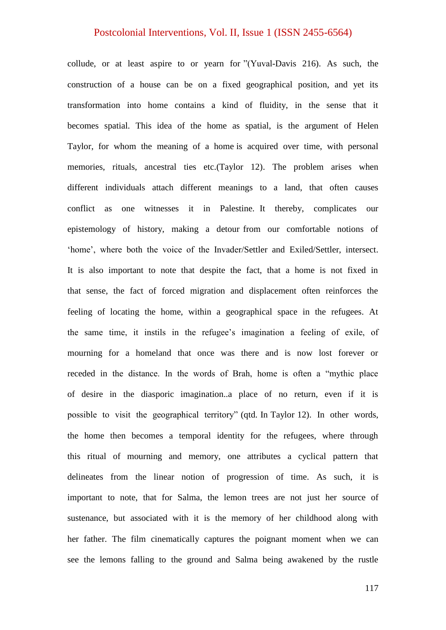collude, or at least aspire to or yearn for "(Yuval-Davis 216). As such, the construction of a house can be on a fixed geographical position, and yet its transformation into home contains a kind of fluidity, in the sense that it becomes spatial. This idea of the home as spatial, is the argument of Helen Taylor, for whom the meaning of a home is acquired over time, with personal memories, rituals, ancestral ties etc.(Taylor 12). The problem arises when different individuals attach different meanings to a land, that often causes conflict as one witnesses it in Palestine. It thereby, complicates our epistemology of history, making a detour from our comfortable notions of 'home', where both the voice of the Invader/Settler and Exiled/Settler, intersect. It is also important to note that despite the fact, that a home is not fixed in that sense, the fact of forced migration and displacement often reinforces the feeling of locating the home, within a geographical space in the refugees. At the same time, it instils in the refugee"s imagination a feeling of exile, of mourning for a homeland that once was there and is now lost forever or receded in the distance. In the words of Brah, home is often a "mythic place of desire in the diasporic imagination..a place of no return, even if it is possible to visit the geographical territory" (qtd. In Taylor 12). In other words, the home then becomes a temporal identity for the refugees, where through this ritual of mourning and memory, one attributes a cyclical pattern that delineates from the linear notion of progression of time. As such, it is important to note, that for Salma, the lemon trees are not just her source of sustenance, but associated with it is the memory of her childhood along with her father. The film cinematically captures the poignant moment when we can see the lemons falling to the ground and Salma being awakened by the rustle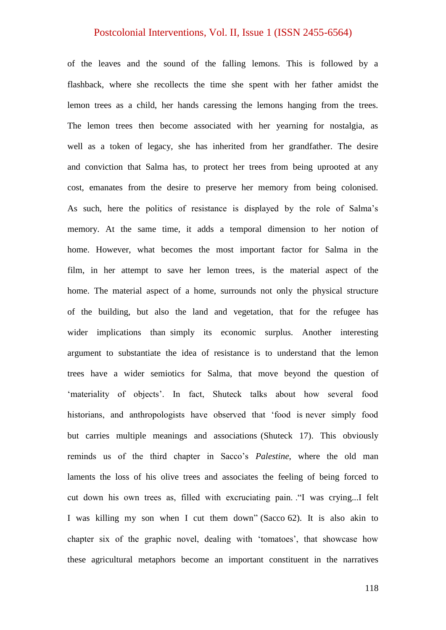of the leaves and the sound of the falling lemons. This is followed by a flashback, where she recollects the time she spent with her father amidst the lemon trees as a child, her hands caressing the lemons hanging from the trees. The lemon trees then become associated with her yearning for nostalgia, as well as a token of legacy, she has inherited from her grandfather. The desire and conviction that Salma has, to protect her trees from being uprooted at any cost, emanates from the desire to preserve her memory from being colonised. As such, here the politics of resistance is displayed by the role of Salma"s memory. At the same time, it adds a temporal dimension to her notion of home. However, what becomes the most important factor for Salma in the film, in her attempt to save her lemon trees, is the material aspect of the home. The material aspect of a home, surrounds not only the physical structure of the building, but also the land and vegetation, that for the refugee has wider implications than simply its economic surplus. Another interesting argument to substantiate the idea of resistance is to understand that the lemon trees have a wider semiotics for Salma, that move beyond the question of 'materiality of objects'. In fact, Shuteck talks about how several food historians, and anthropologists have observed that "food is never simply food but carries multiple meanings and associations (Shuteck 17). This obviously reminds us of the third chapter in Sacco"s *Palestine*, where the old man laments the loss of his olive trees and associates the feeling of being forced to cut down his own trees as, filled with excruciating pain. ."I was crying...I felt I was killing my son when I cut them down" (Sacco 62). It is also akin to chapter six of the graphic novel, dealing with "tomatoes", that showcase how these agricultural metaphors become an important constituent in the narratives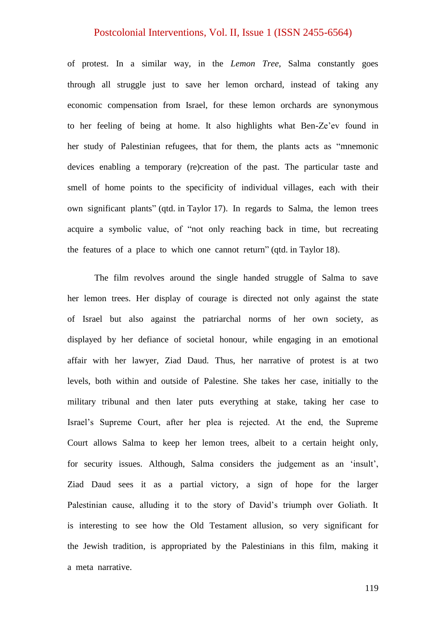of protest. In a similar way, in the *Lemon Tree*, Salma constantly goes through all struggle just to save her lemon orchard, instead of taking any economic compensation from Israel, for these lemon orchards are synonymous to her feeling of being at home. It also highlights what Ben-Ze"ev found in her study of Palestinian refugees, that for them, the plants acts as "mnemonic devices enabling a temporary (re)creation of the past. The particular taste and smell of home points to the specificity of individual villages, each with their own significant plants" (qtd. in Taylor 17). In regards to Salma, the lemon trees acquire a symbolic value, of "not only reaching back in time, but recreating the features of a place to which one cannot return" (qtd. in Taylor 18).

 The film revolves around the single handed struggle of Salma to save her lemon trees. Her display of courage is directed not only against the state of Israel but also against the patriarchal norms of her own society, as displayed by her defiance of societal honour, while engaging in an emotional affair with her lawyer, Ziad Daud. Thus, her narrative of protest is at two levels, both within and outside of Palestine. She takes her case, initially to the military tribunal and then later puts everything at stake, taking her case to Israel"s Supreme Court, after her plea is rejected. At the end, the Supreme Court allows Salma to keep her lemon trees, albeit to a certain height only, for security issues. Although, Salma considers the judgement as an 'insult', Ziad Daud sees it as a partial victory, a sign of hope for the larger Palestinian cause, alluding it to the story of David's triumph over Goliath. It is interesting to see how the Old Testament allusion, so very significant for the Jewish tradition, is appropriated by the Palestinians in this film, making it a meta narrative.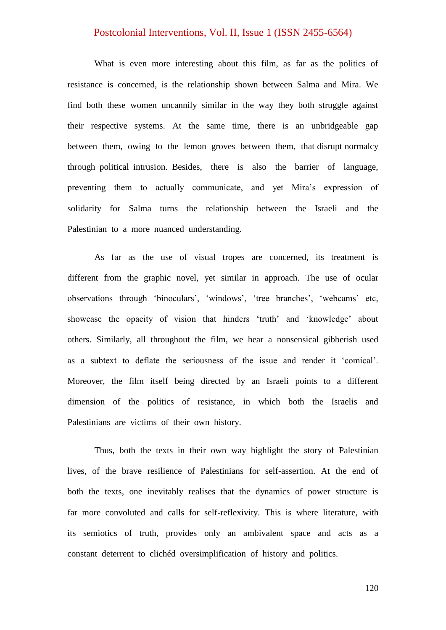What is even more interesting about this film, as far as the politics of resistance is concerned, is the relationship shown between Salma and Mira. We find both these women uncannily similar in the way they both struggle against their respective systems. At the same time, there is an unbridgeable gap between them, owing to the lemon groves between them, that disrupt normalcy through political intrusion. Besides, there is also the barrier of language, preventing them to actually communicate, and yet Mira"s expression of solidarity for Salma turns the relationship between the Israeli and the Palestinian to a more nuanced understanding.

As far as the use of visual tropes are concerned, its treatment is different from the graphic novel, yet similar in approach. The use of ocular observations through 'binoculars', 'windows', 'tree branches', 'webcams' etc, showcase the opacity of vision that hinders 'truth' and 'knowledge' about others. Similarly, all throughout the film, we hear a nonsensical gibberish used as a subtext to deflate the seriousness of the issue and render it "comical". Moreover, the film itself being directed by an Israeli points to a different dimension of the politics of resistance, in which both the Israelis and Palestinians are victims of their own history.

Thus, both the texts in their own way highlight the story of Palestinian lives, of the brave resilience of Palestinians for self-assertion. At the end of both the texts, one inevitably realises that the dynamics of power structure is far more convoluted and calls for self-reflexivity. This is where literature, with its semiotics of truth, provides only an ambivalent space and acts as a constant deterrent to clichéd oversimplification of history and politics.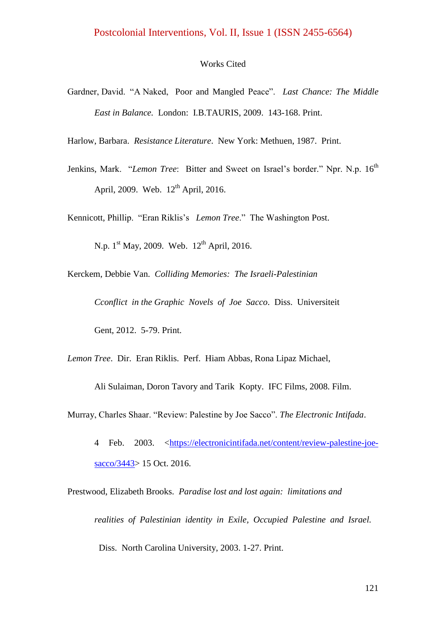#### Works Cited

- Gardner, David. "A Naked, Poor and Mangled Peace". *Last Chance: The Middle East in Balance.* London: I.B.TAURIS, 2009. 143-168. Print.
- Harlow, Barbara. *Resistance Literature*. New York: Methuen, 1987. Print.
- Jenkins, Mark. "*Lemon Tree*: Bitter and Sweet on Israel's border." Npr. N.p. 16<sup>th</sup> April, 2009. Web. 12<sup>th</sup> April, 2016.
- Kennicott, Phillip. "Eran Riklis"s *Lemon Tree*." The Washington Post.

N.p.  $1^{st}$  May, 2009. Web.  $12^{th}$  April, 2016.

- Kerckem, Debbie Van. *Colliding Memories: The Israeli-Palestinian Cconflict in the Graphic Novels of Joe Sacco*. Diss. Universiteit Gent, 2012. 5-79. Print.
- *Lemon Tree*. Dir. Eran Riklis. Perf. Hiam Abbas, Rona Lipaz Michael,

Ali Sulaiman, Doron Tavory and Tarik Kopty. IFC Films, 2008. Film.

- Murray, Charles Shaar. "Review: Palestine by Joe Sacco". *The Electronic Intifada*.
	- 4 Feb. 2003. [<https://electronicintifada.net/content/review-palestine-joe](https://electronicintifada.net/content/review-palestine-joe-sacco/3443)[sacco/3443>](https://electronicintifada.net/content/review-palestine-joe-sacco/3443) 15 Oct. 2016.
- Prestwood, Elizabeth Brooks. *Paradise lost and lost again: limitations and realities of Palestinian identity in Exile, Occupied Palestine and Israel.* Diss. North Carolina University, 2003. 1-27. Print.